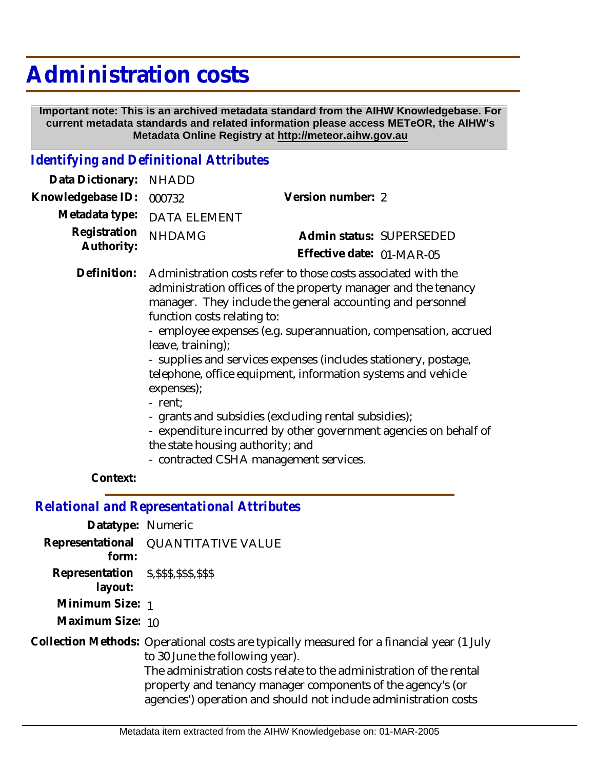## **Administration costs**

 **Important note: This is an archived metadata standard from the AIHW Knowledgebase. For current metadata standards and related information please access METeOR, the AIHW's Metadata Online Registry at http://meteor.aihw.gov.au**

## *Identifying and Definitional Attributes*

| Data Dictionary: NHADD     |                                                                                                                                                                                                                                                                                                 |                           |
|----------------------------|-------------------------------------------------------------------------------------------------------------------------------------------------------------------------------------------------------------------------------------------------------------------------------------------------|---------------------------|
| Knowledgebase ID:          | 000732                                                                                                                                                                                                                                                                                          | Version number: 2         |
| Metadata type:             | <b>DATA ELEMENT</b>                                                                                                                                                                                                                                                                             |                           |
| Registration<br>Authority: | <b>NHDAMG</b>                                                                                                                                                                                                                                                                                   | Admin status: SUPERSEDED  |
|                            |                                                                                                                                                                                                                                                                                                 | Effective date: 01-MAR-05 |
| Definition:                | Administration costs refer to those costs associated with the<br>administration offices of the property manager and the tenancy<br>manager. They include the general accounting and personnel<br>function costs relating to:<br>- employee expenses (e.g. superannuation, compensation, accrued |                           |

- leave, training);
	- supplies and services expenses (includes stationery, postage, telephone, office equipment, information systems and vehicle expenses);
	- rent;
	- grants and subsidies (excluding rental subsidies);
	- expenditure incurred by other government agencies on behalf of the state housing authority; and
	- contracted CSHA management services.

## **Context:**

*Relational and Representational Attributes*

| Datatype: Numeric                                    |                                                                                                                                                                                                                                                                                                                                        |
|------------------------------------------------------|----------------------------------------------------------------------------------------------------------------------------------------------------------------------------------------------------------------------------------------------------------------------------------------------------------------------------------------|
| Representational<br>form:                            | <b>QUANTITATIVE VALUE</b>                                                                                                                                                                                                                                                                                                              |
| Representation \$, \$\$\$, \$\$\$, \$\$\$<br>layout: |                                                                                                                                                                                                                                                                                                                                        |
| Minimum Size: 1                                      |                                                                                                                                                                                                                                                                                                                                        |
| Maximum Size: 10                                     |                                                                                                                                                                                                                                                                                                                                        |
|                                                      | Collection Methods: Operational costs are typically measured for a financial year (1 July<br>to 30 June the following year).<br>The administration costs relate to the administration of the rental<br>property and tenancy manager components of the agency's (or<br>agencies') operation and should not include administration costs |